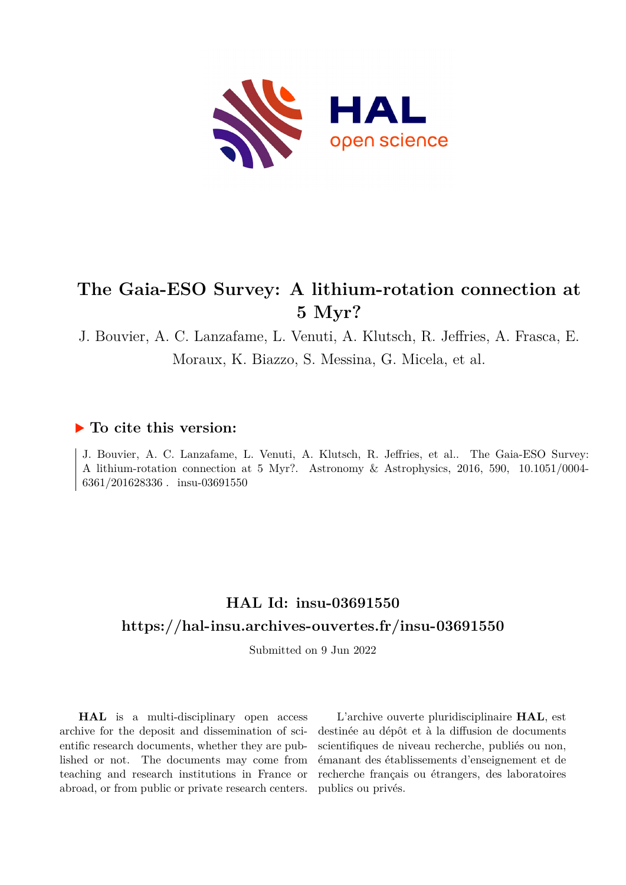

# **The Gaia-ESO Survey: A lithium-rotation connection at 5 Myr?**

J. Bouvier, A. C. Lanzafame, L. Venuti, A. Klutsch, R. Jeffries, A. Frasca, E. Moraux, K. Biazzo, S. Messina, G. Micela, et al.

### **To cite this version:**

J. Bouvier, A. C. Lanzafame, L. Venuti, A. Klutsch, R. Jeffries, et al.. The Gaia-ESO Survey: A lithium-rotation connection at 5 Myr?. Astronomy & Astrophysics, 2016, 590, 10.1051/0004- $6361/201628336$ . insu-03691550

# **HAL Id: insu-03691550 <https://hal-insu.archives-ouvertes.fr/insu-03691550>**

Submitted on 9 Jun 2022

**HAL** is a multi-disciplinary open access archive for the deposit and dissemination of scientific research documents, whether they are published or not. The documents may come from teaching and research institutions in France or abroad, or from public or private research centers.

L'archive ouverte pluridisciplinaire **HAL**, est destinée au dépôt et à la diffusion de documents scientifiques de niveau recherche, publiés ou non, émanant des établissements d'enseignement et de recherche français ou étrangers, des laboratoires publics ou privés.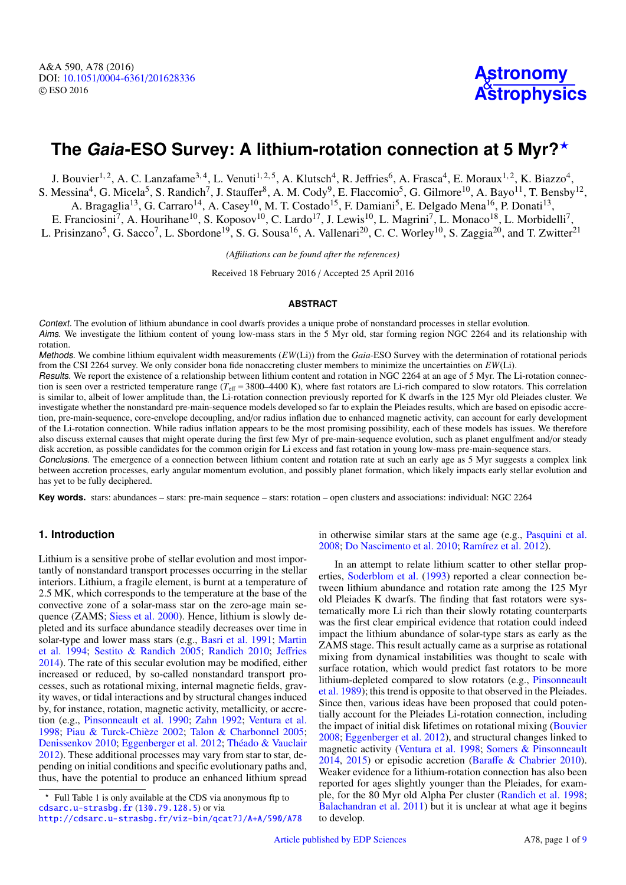# **The Gaia-ESO Survey: A lithium-rotation connection at 5 Myr?**?

J. Bouvier<sup>1, 2</sup>, A. C. Lanzafame<sup>3, 4</sup>, L. Venuti<sup>1, 2, 5</sup>, A. Klutsch<sup>4</sup>, R. Jeffries<sup>6</sup>, A. Frasca<sup>4</sup>, E. Moraux<sup>1, 2</sup>, K. Biazzo<sup>4</sup>, S. Messina<sup>4</sup>, G. Micela<sup>5</sup>, S. Randich<sup>7</sup>, J. Stauffer<sup>8</sup>, A. M. Cody<sup>9</sup>, E. Flaccomio<sup>5</sup>, G. Gilmore<sup>10</sup>, A. Bayo<sup>11</sup>, T. Bensby<sup>12</sup>, A. Bragaglia<sup>13</sup>, G. Carraro<sup>14</sup>, A. Casey<sup>10</sup>, M. T. Costado<sup>15</sup>, F. Damiani<sup>5</sup>, E. Delgado Mena<sup>16</sup>, P. Donati<sup>13</sup>, E. Franciosini<sup>7</sup>, A. Hourihane<sup>10</sup>, S. Koposov<sup>10</sup>, C. Lardo<sup>17</sup>, J. Lewis<sup>10</sup>, L. Magrini<sup>7</sup>, L. Monaco<sup>18</sup>, L. Morbidelli<sup>7</sup>, L. Prisinzano<sup>5</sup>, G. Sacco<sup>7</sup>, L. Sbordone<sup>19</sup>, S. G. Sousa<sup>16</sup>, A. Vallenari<sup>20</sup>, C. C. Worley<sup>10</sup>, S. Zaggia<sup>20</sup>, and T. Zwitter<sup>21</sup>

*(A*ffi*liations can be found after the references)*

Received 18 February 2016 / Accepted 25 April 2016

#### **ABSTRACT**

Context. The evolution of lithium abundance in cool dwarfs provides a unique probe of nonstandard processes in stellar evolution. Aims. We investigate the lithium content of young low-mass stars in the 5 Myr old, star forming region NGC 2264 and its relationship with rotation.

Methods. We combine lithium equivalent width measurements (*EW*(Li)) from the *Gaia*-ESO Survey with the determination of rotational periods from the CSI 2264 survey. We only consider bona fide nonaccreting cluster members to minimize the uncertainties on *EW*(Li).

Results. We report the existence of a relationship between lithium content and rotation in NGC 2264 at an age of 5 Myr. The Li-rotation connection is seen over a restricted temperature range  $(T_{\text{eff}} = 3800-4400 \text{ K})$ , where fast rotators are Li-rich compared to slow rotators. This correlation is similar to, albeit of lower amplitude than, the Li-rotation connection previously reported for K dwarfs in the 125 Myr old Pleiades cluster. We investigate whether the nonstandard pre-main-sequence models developed so far to explain the Pleiades results, which are based on episodic accretion, pre-main-sequence, core-envelope decoupling, and/or radius inflation due to enhanced magnetic activity, can account for early development of the Li-rotation connection. While radius inflation appears to be the most promising possibility, each of these models has issues. We therefore also discuss external causes that might operate during the first few Myr of pre-main-sequence evolution, such as planet engulfment and/or steady disk accretion, as possible candidates for the common origin for Li excess and fast rotation in young low-mass pre-main-sequence stars.

Conclusions. The emergence of a connection between lithium content and rotation rate at such an early age as 5 Myr suggests a complex link between accretion processes, early angular momentum evolution, and possibly planet formation, which likely impacts early stellar evolution and has yet to be fully deciphered.

**Key words.** stars: abundances – stars: pre-main sequence – stars: rotation – open clusters and associations: individual: NGC 2264

### **1. Introduction**

Lithium is a sensitive probe of stellar evolution and most importantly of nonstandard transport processes occurring in the stellar interiors. Lithium, a fragile element, is burnt at a temperature of 2.5 MK, which corresponds to the temperature at the base of the convective zone of a solar-mass star on the zero-age main sequence (ZAMS; Siess et al. 2000). Hence, lithium is slowly depleted and its surface abundance steadily decreases over time in solar-type and lower mass stars (e.g., Basri et al. 1991; Martin et al. 1994; Sestito & Randich 2005; Randich 2010; Jeffries 2014). The rate of this secular evolution may be modified, either increased or reduced, by so-called nonstandard transport processes, such as rotational mixing, internal magnetic fields, gravity waves, or tidal interactions and by structural changes induced by, for instance, rotation, magnetic activity, metallicity, or accretion (e.g., Pinsonneault et al. 1990; Zahn 1992; Ventura et al. 1998; Piau & Turck-Chièze 2002; Talon & Charbonnel 2005; Denissenkov 2010; Eggenberger et al. 2012; Théado & Vauclair 2012). These additional processes may vary from star to star, depending on initial conditions and specific evolutionary paths and, thus, have the potential to produce an enhanced lithium spread

<http://cdsarc.u-strasbg.fr/viz-bin/qcat?J/A+A/590/A78>

in otherwise similar stars at the same age (e.g., Pasquini et al. 2008; Do Nascimento et al. 2010; Ramírez et al. 2012).

In an attempt to relate lithium scatter to other stellar properties, Soderblom et al. (1993) reported a clear connection between lithium abundance and rotation rate among the 125 Myr old Pleiades K dwarfs. The finding that fast rotators were systematically more Li rich than their slowly rotating counterparts was the first clear empirical evidence that rotation could indeed impact the lithium abundance of solar-type stars as early as the ZAMS stage. This result actually came as a surprise as rotational mixing from dynamical instabilities was thought to scale with surface rotation, which would predict fast rotators to be more lithium-depleted compared to slow rotators (e.g., Pinsonneault et al. 1989); this trend is opposite to that observed in the Pleiades. Since then, various ideas have been proposed that could potentially account for the Pleiades Li-rotation connection, including the impact of initial disk lifetimes on rotational mixing (Bouvier 2008; Eggenberger et al. 2012), and structural changes linked to magnetic activity (Ventura et al. 1998; Somers & Pinsonneault 2014, 2015) or episodic accretion (Baraffe & Chabrier 2010). Weaker evidence for a lithium-rotation connection has also been reported for ages slightly younger than the Pleiades, for example, for the 80 Myr old Alpha Per cluster (Randich et al. 1998; Balachandran et al. 2011) but it is unclear at what age it begins to develop.

<sup>?</sup> Full Table 1 is only available at the CDS via anonymous ftp to [cdsarc.u-strasbg.fr](http://cdsarc.u-strasbg.fr) (<130.79.128.5>) or via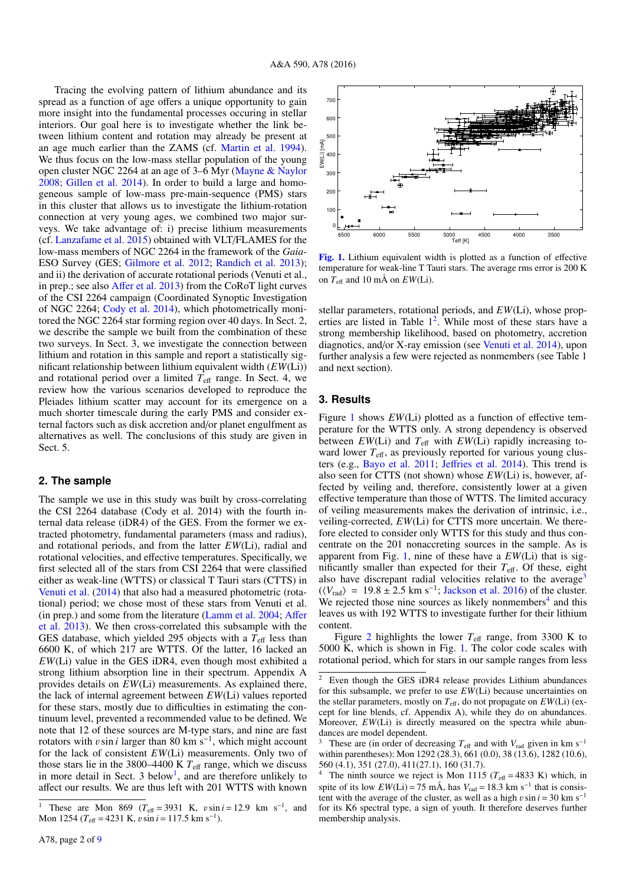Tracing the evolving pattern of lithium abundance and its spread as a function of age offers a unique opportunity to gain more insight into the fundamental processes occuring in stellar interiors. Our goal here is to investigate whether the link between lithium content and rotation may already be present at an age much earlier than the ZAMS (cf. Martin et al. 1994). We thus focus on the low-mass stellar population of the young open cluster NGC 2264 at an age of 3–6 Myr (Mayne & Naylor 2008; Gillen et al. 2014). In order to build a large and homogeneous sample of low-mass pre-main-sequence (PMS) stars in this cluster that allows us to investigate the lithium-rotation connection at very young ages, we combined two major surveys. We take advantage of: i) precise lithium measurements (cf. Lanzafame et al. 2015) obtained with VLT/FLAMES for the low-mass members of NGC 2264 in the framework of the *Gaia*-ESO Survey (GES; Gilmore et al. 2012; Randich et al. 2013); and ii) the derivation of accurate rotational periods (Venuti et al., in prep.; see also Affer et al. 2013) from the CoRoT light curves of the CSI 2264 campaign (Coordinated Synoptic Investigation of NGC 2264; Cody et al. 2014), which photometrically monitored the NGC 2264 star forming region over 40 days. In Sect. 2, we describe the sample we built from the combination of these two surveys. In Sect. 3, we investigate the connection between lithium and rotation in this sample and report a statistically significant relationship between lithium equivalent width (*EW*(Li)) and rotational period over a limited  $T_{\text{eff}}$  range. In Sect. 4, we review how the various scenarios developed to reproduce the Pleiades lithium scatter may account for its emergence on a much shorter timescale during the early PMS and consider external factors such as disk accretion and/or planet engulfment as alternatives as well. The conclusions of this study are given in Sect. 5.

#### **2. The sample**

The sample we use in this study was built by cross-correlating the CSI 2264 database (Cody et al. 2014) with the fourth internal data release (iDR4) of the GES. From the former we extracted photometry, fundamental parameters (mass and radius), and rotational periods, and from the latter *EW*(Li), radial and rotational velocities, and effective temperatures. Specifically, we first selected all of the stars from CSI 2264 that were classified either as weak-line (WTTS) or classical T Tauri stars (CTTS) in Venuti et al. (2014) that also had a measured photometric (rotational) period; we chose most of these stars from Venuti et al. (in prep.) and some from the literature (Lamm et al. 2004; Affer et al. 2013). We then cross-correlated this subsample with the GES database, which yielded 295 objects with a  $T_{\text{eff}}$  less than 6600 K, of which 217 are WTTS. Of the latter, 16 lacked an *EW*(Li) value in the GES iDR4, even though most exhibited a strong lithium absorption line in their spectrum. Appendix A provides details on *EW*(Li) measurements. As explained there, the lack of internal agreement between *EW*(Li) values reported for these stars, mostly due to difficulties in estimating the continuum level, prevented a recommended value to be defined. We note that 12 of these sources are M-type stars, and nine are fast rotators with *v* sin *i* larger than 80 km s<sup>−1</sup>, which might account for the lack of consistent *EW*(*L*) measurements. Only two of for the lack of consistent *EW*(Li) measurements. Only two of those stars lie in the 3800–4400 K  $T_{\text{eff}}$  range, which we discuss in more detail in Sect. 3 below<sup>1</sup>, and are therefore unlikely to affect our results. We are thus left with 201 WTTS with known



[Fig. 1.](http://dexter.edpsciences.org/applet.php?DOI=10.1051/0004-6361/201628336&pdf_id=1) Lithium equivalent width is plotted as a function of effective temperature for weak-line T Tauri stars. The average rms error is 200 K on  $T_{\text{eff}}$  and 10 mÅ on  $EW(Li)$ .

stellar parameters, rotational periods, and *EW*(Li), whose properties are listed in Table 1<sup>2</sup>. While most of these stars have a strong membership likelihood, based on photometry, accretion diagnotics, and/or X-ray emission (see Venuti et al. 2014), upon further analysis a few were rejected as nonmembers (see Table 1 and next section).

#### **3. Results**

Figure 1 shows *EW*(Li) plotted as a function of effective temperature for the WTTS only. A strong dependency is observed between  $EW(Li)$  and  $T_{\text{eff}}$  with  $EW(Li)$  rapidly increasing toward lower  $T_{\text{eff}}$ , as previously reported for various young clusters (e.g., Bayo et al. 2011; Jeffries et al. 2014). This trend is also seen for CTTS (not shown) whose *EW*(Li) is, however, affected by veiling and, therefore, consistently lower at a given effective temperature than those of WTTS. The limited accuracy of veiling measurements makes the derivation of intrinsic, i.e., veiling-corrected, *EW*(Li) for CTTS more uncertain. We therefore elected to consider only WTTS for this study and thus concentrate on the 201 nonaccreting sources in the sample. As is apparent from Fig. 1, nine of these have a *EW*(Li) that is significantly smaller than expected for their  $T_{\text{eff}}$ . Of these, eight also have discrepant radial velocities relative to the average<sup>3</sup>  $(\langle V_{\text{rad}} \rangle = 19.8 \pm 2.5 \text{ km s}^{-1}; \text{Jackson et al. } 2016)$  of the cluster.<br>We rejected those nine sources as likely nonmembers<sup>4</sup> and this We rejected those nine sources as likely nonmembers<sup>4</sup> and this leaves us with 192 WTTS to investigate further for their lithium content.

Figure 2 highlights the lower  $T_{\text{eff}}$  range, from 3300 K to 5000 K, which is shown in Fig. 1. The color code scales with rotational period, which for stars in our sample ranges from less

<sup>&</sup>lt;sup>1</sup> These are Mon 869 ( $T_{\text{eff}}$  = 3931 K,  $v \sin i = 12.9$  km s<sup>-1</sup>, and Mon 1254 ( $T_{\text{eff}}$  = 4231 K  $v \sin i = 117.5$  km s<sup>-1</sup>) Mon 1254 ( $T_{\text{eff}}$  = 4231 K,  $v \sin i$  = 117.5 km s<sup>-1</sup>).

Even though the GES iDR4 release provides Lithium abundances for this subsample, we prefer to use *EW*(Li) because uncertainties on the stellar parameters, mostly on  $T_{\text{eff}}$ , do not propagate on  $EW(Li)$  (except for line blends, cf. Appendix A), while they do on abundances. Moreover, *EW*(Li) is directly measured on the spectra while abundances are model dependent.

These are (in order of decreasing  $T_{\text{eff}}$  and with  $V_{\text{rad}}$  given in km s<sup>−1</sup> within parentheses): Mon 1292 (28.3), 661 (0.0), 38 (13.6), 1282 (10.6), 560 (4.1), 351 (27.0), 411(27.1), 160 (31.7).

The ninth source we reject is Mon 1115 ( $T_{\text{eff}} = 4833 \text{ K}$ ) which, in spite of its low  $EW(Li) = 75$  mÅ, has  $V_{rad} = 18.3$  km s<sup>-1</sup> that is consistent with the average of the cluster, as well as a high  $v \sin i = 30$  km s<sup>−1</sup> for its K6 spectral type, a sign of youth. It therefore deserves further membership analysis.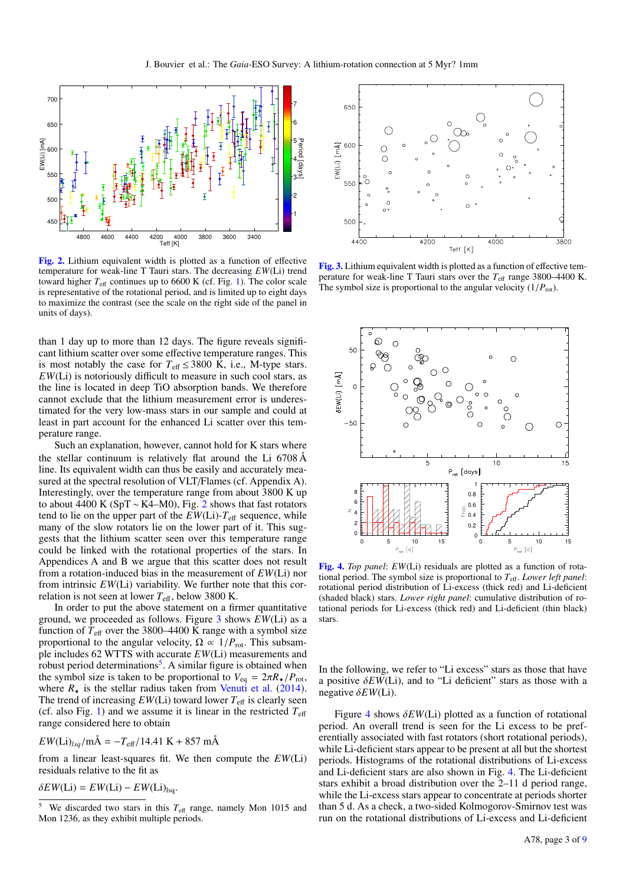

[Fig. 2.](http://dexter.edpsciences.org/applet.php?DOI=10.1051/0004-6361/201628336&pdf_id=2) Lithium equivalent width is plotted as a function of effective temperature for weak-line T Tauri stars. The decreasing *EW*(Li) trend toward higher  $T_{\text{eff}}$  continues up to 6600 K (cf. Fig. 1). The color scale is representative of the rotational period, and is limited up to eight days to maximize the contrast (see the scale on the right side of the panel in units of days).

than 1 day up to more than 12 days. The figure reveals significant lithium scatter over some effective temperature ranges. This is most notably the case for  $T_{\text{eff}} \leq 3800$  K, i.e., M-type stars. *EW*(Li) is notoriously difficult to measure in such cool stars, as the line is located in deep TiO absorption bands. We therefore cannot exclude that the lithium measurement error is underestimated for the very low-mass stars in our sample and could at least in part account for the enhanced Li scatter over this temperature range.

Such an explanation, however, cannot hold for K stars where the stellar continuum is relatively flat around the Li 6708 Å line. Its equivalent width can thus be easily and accurately measured at the spectral resolution of VLT/Flames (cf. Appendix A). Interestingly, over the temperature range from about 3800 K up to about 4400 K (SpT ~ K4–M0), Fig. 2 shows that fast rotators tend to lie on the upper part of the  $EW(Li)$ - $T_{\text{eff}}$  sequence, while many of the slow rotators lie on the lower part of it. This suggests that the lithium scatter seen over this temperature range could be linked with the rotational properties of the stars. In Appendices A and B we argue that this scatter does not result from a rotation-induced bias in the measurement of *EW*(Li) nor from intrinsic *EW*(Li) variability. We further note that this correlation is not seen at lower  $T_{\text{eff}}$ , below 3800 K.

In order to put the above statement on a firmer quantitative ground, we proceeded as follows. Figure 3 shows *EW*(Li) as a function of  $T_{\text{eff}}$  over the 3800–4400 K range with a symbol size proportional to the angular velocity,  $\Omega \propto 1/P_{\text{rot}}$ . This subsample includes 62 WTTS with accurate *EW*(Li) measurements and robust period determinations<sup>5</sup>. A similar figure is obtained when the symbol size is taken to be proportional to  $V_{eq} = 2\pi R_{\star}/P_{rot}$ , where  $R_{\star}$  is the stellar radius taken from Venuti et al. (2014). The trend of increasing  $EW(Li)$  toward lower  $T_{\text{eff}}$  is clearly seen (cf. also Fig. 1) and we assume it is linear in the restricted  $T_{\text{eff}}$ range considered here to obtain

$$
EW(Li)_{lsq}/m\text{\AA} = -T_{\text{eff}}/14.41 \text{ K} + 857 \text{ m\AA}
$$

from a linear least-squares fit. We then compute the *EW*(Li) residuals relative to the fit as

 $\delta EW(Li) = EW(Li) - EW(Li)_{\text{lsq}}.$ 



[Fig. 3.](http://dexter.edpsciences.org/applet.php?DOI=10.1051/0004-6361/201628336&pdf_id=3) Lithium equivalent width is plotted as a function of effective temperature for weak-line T Tauri stars over the  $T_{\text{eff}}$  range 3800–4400 K. The symbol size is proportional to the angular velocity  $(1/P_{\text{rot}})$ .



[Fig. 4.](http://dexter.edpsciences.org/applet.php?DOI=10.1051/0004-6361/201628336&pdf_id=4) *Top panel*: *EW*(Li) residuals are plotted as a function of rotational period. The symbol size is proportional to  $T_{\text{eff}}$ . *Lower left panel*: rotational period distribution of Li-excess (thick red) and Li-deficient (shaded black) stars. *Lower right panel*: cumulative distribution of rotational periods for Li-excess (thick red) and Li-deficient (thin black) stars.

In the following, we refer to "Li excess" stars as those that have a positive  $\delta EW(Li)$ , and to "Li deficient" stars as those with a negative δ*EW*(Li).

Figure 4 shows  $\delta EW(Li)$  plotted as a function of rotational period. An overall trend is seen for the Li excess to be preferentially associated with fast rotators (short rotational periods), while Li-deficient stars appear to be present at all but the shortest periods. Histograms of the rotational distributions of Li-excess and Li-deficient stars are also shown in Fig. 4. The Li-deficient stars exhibit a broad distribution over the 2–11 d period range, while the Li-excess stars appear to concentrate at periods shorter than 5 d. As a check, a two-sided Kolmogorov-Smirnov test was run on the rotational distributions of Li-excess and Li-deficient

We discarded two stars in this  $T_{\text{eff}}$  range, namely Mon 1015 and Mon 1236, as they exhibit multiple periods.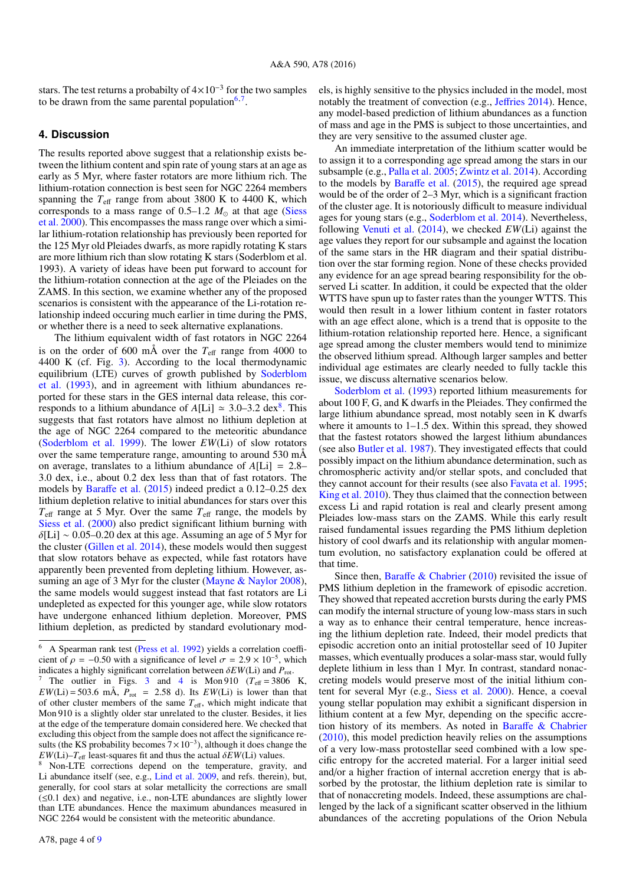stars. The test returns a probabilty of  $4 \times 10^{-3}$  for the two samples to be drawn from the same parental population $6,7$ .

#### **4. Discussion**

The results reported above suggest that a relationship exists between the lithium content and spin rate of young stars at an age as early as 5 Myr, where faster rotators are more lithium rich. The lithium-rotation connection is best seen for NGC 2264 members spanning the  $T_{\text{eff}}$  range from about 3800 K to 4400 K, which corresponds to a mass range of  $0.5-1.2$   $M_{\odot}$  at that age (Siess et al. 2000). This encompasses the mass range over which a similar lithium-rotation relationship has previously been reported for the 125 Myr old Pleiades dwarfs, as more rapidly rotating K stars are more lithium rich than slow rotating K stars (Soderblom et al. 1993). A variety of ideas have been put forward to account for the lithium-rotation connection at the age of the Pleiades on the ZAMS. In this section, we examine whether any of the proposed scenarios is consistent with the appearance of the Li-rotation relationship indeed occuring much earlier in time during the PMS, or whether there is a need to seek alternative explanations.

The lithium equivalent width of fast rotators in NGC 2264 is on the order of 600 mÅ over the  $T_{\text{eff}}$  range from 4000 to 4400 K (cf. Fig. 3). According to the local thermodynamic equilibrium (LTE) curves of growth published by Soderblom et al. (1993), and in agreement with lithium abundances reported for these stars in the GES internal data release, this corresponds to a lithium abundance of  $A[L] \approx 3.0-3.2 \text{ dex}^8$ . This suggests that fast rotators have almost no lithium depletion at suggests that fast rotators have almost no lithium depletion at the age of NGC 2264 compared to the meteoritic abundance (Soderblom et al. 1999). The lower *EW*(Li) of slow rotators over the same temperature range, amounting to around 530 mÅ on average, translates to a lithium abundance of *<sup>A</sup>*[Li] <sup>=</sup> <sup>2</sup>.8– 3.0 dex, i.e., about 0.2 dex less than that of fast rotators. The models by Baraffe et al. (2015) indeed predict a 0.12–0.25 dex lithium depletion relative to initial abundances for stars over this  $T_{\text{eff}}$  range at 5 Myr. Over the same  $T_{\text{eff}}$  range, the models by Siess et al. (2000) also predict significant lithium burning with  $\delta$ [Li] ~ 0.05–0.20 dex at this age. Assuming an age of 5 Myr for the cluster (Gillen et al. 2014), these models would then suggest that slow rotators behave as expected, while fast rotators have apparently been prevented from depleting lithium. However, assuming an age of 3 Myr for the cluster (Mayne & Naylor 2008), the same models would suggest instead that fast rotators are Li undepleted as expected for this younger age, while slow rotators have undergone enhanced lithium depletion. Moreover, PMS lithium depletion, as predicted by standard evolutionary models, is highly sensitive to the physics included in the model, most notably the treatment of convection (e.g., Jeffries 2014). Hence, any model-based prediction of lithium abundances as a function of mass and age in the PMS is subject to those uncertainties, and they are very sensitive to the assumed cluster age.

An immediate interpretation of the lithium scatter would be to assign it to a corresponding age spread among the stars in our subsample (e.g., Palla et al. 2005; Zwintz et al. 2014). According to the models by Baraffe et al. (2015), the required age spread would be of the order of 2–3 Myr, which is a significant fraction of the cluster age. It is notoriously difficult to measure individual ages for young stars (e.g., Soderblom et al. 2014). Nevertheless, following Venuti et al. (2014), we checked *EW*(Li) against the age values they report for our subsample and against the location of the same stars in the HR diagram and their spatial distribution over the star forming region. None of these checks provided any evidence for an age spread bearing responsibility for the observed Li scatter. In addition, it could be expected that the older WTTS have spun up to faster rates than the younger WTTS. This would then result in a lower lithium content in faster rotators with an age effect alone, which is a trend that is opposite to the lithium-rotation relationship reported here. Hence, a significant age spread among the cluster members would tend to minimize the observed lithium spread. Although larger samples and better individual age estimates are clearly needed to fully tackle this issue, we discuss alternative scenarios below.

Soderblom et al. (1993) reported lithium measurements for about 100 F, G, and K dwarfs in the Pleiades. They confirmed the large lithium abundance spread, most notably seen in K dwarfs where it amounts to 1–1.5 dex. Within this spread, they showed that the fastest rotators showed the largest lithium abundances (see also Butler et al. 1987). They investigated effects that could possibly impact on the lithium abundance determination, such as chromospheric activity and/or stellar spots, and concluded that they cannot account for their results (see also Favata et al. 1995; King et al. 2010). They thus claimed that the connection between excess Li and rapid rotation is real and clearly present among Pleiades low-mass stars on the ZAMS. While this early result raised fundamental issues regarding the PMS lithium depletion history of cool dwarfs and its relationship with angular momentum evolution, no satisfactory explanation could be offered at that time.

Since then, Baraffe & Chabrier (2010) revisited the issue of PMS lithium depletion in the framework of episodic accretion. They showed that repeated accretion bursts during the early PMS can modify the internal structure of young low-mass stars in such a way as to enhance their central temperature, hence increasing the lithium depletion rate. Indeed, their model predicts that episodic accretion onto an initial protostellar seed of 10 Jupiter masses, which eventually produces a solar-mass star, would fully deplete lithium in less than 1 Myr. In contrast, standard nonaccreting models would preserve most of the initial lithium content for several Myr (e.g., Siess et al. 2000). Hence, a coeval young stellar population may exhibit a significant dispersion in lithium content at a few Myr, depending on the specific accretion history of its members. As noted in Baraffe & Chabrier (2010), this model prediction heavily relies on the assumptions of a very low-mass protostellar seed combined with a low specific entropy for the accreted material. For a larger initial seed and/or a higher fraction of internal accretion energy that is absorbed by the protostar, the lithium depletion rate is similar to that of nonaccreting models. Indeed, these assumptions are challenged by the lack of a significant scatter observed in the lithium abundances of the accreting populations of the Orion Nebula

<sup>6</sup> A Spearman rank test (Press et al. 1992) yields a correlation coefficient of  $\rho = -0.50$  with a significance of level  $\sigma = 2.9 \times 10^{-5}$ , which indicates a highly significant correlation between  $\delta F W(I)$  i) and  $P_{\text{tot}}$ . indicates a highly significant correlation between  $\delta EW(Li)$  and  $P_{rot}$ .

<sup>&</sup>lt;sup>7</sup> The outlier in Figs. 3 and 4 is Mon 910 ( $T_{\text{eff}} = 3806$  K,  $EW(Li) = 503.6$  mÅ,  $P_{rot} = 2.58$  d). Its  $EW(Li)$  is lower than that of other cluster members of the same  $T_{eff}$ , which might indicate that Mon 910 is a slightly older star unrelated to the cluster. Besides, it lies at the edge of the temperature domain considered here. We checked that excluding this object from the sample does not affect the significance results (the KS probability becomes  $7 \times 10^{-3}$ ), although it does change the  $EW(Li)-T_{\text{eff}}$  least-squares fit and thus the actual  $\delta EW(Li)$  values.

<sup>8</sup> Non-LTE corrections depend on the temperature, gravity, and Li abundance itself (see, e.g., Lind et al. 2009, and refs. therein), but, generally, for cool stars at solar metallicity the corrections are small (≤0.1 dex) and negative, i.e., non-LTE abundances are slightly lower than LTE abundances. Hence the maximum abundances measured in NGC 2264 would be consistent with the meteoritic abundance.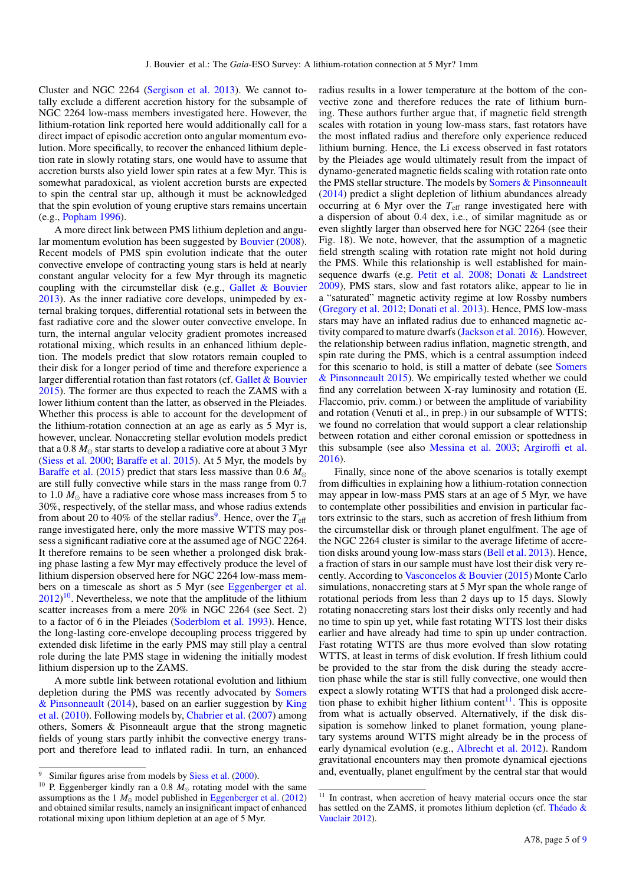Cluster and NGC 2264 (Sergison et al. 2013). We cannot totally exclude a different accretion history for the subsample of NGC 2264 low-mass members investigated here. However, the lithium-rotation link reported here would additionally call for a direct impact of episodic accretion onto angular momentum evolution. More specifically, to recover the enhanced lithium depletion rate in slowly rotating stars, one would have to assume that accretion bursts also yield lower spin rates at a few Myr. This is somewhat paradoxical, as violent accretion bursts are expected to spin the central star up, although it must be acknowledged that the spin evolution of young eruptive stars remains uncertain (e.g., Popham 1996).

A more direct link between PMS lithium depletion and angular momentum evolution has been suggested by Bouvier (2008). Recent models of PMS spin evolution indicate that the outer convective envelope of contracting young stars is held at nearly constant angular velocity for a few Myr through its magnetic coupling with the circumstellar disk (e.g., Gallet & Bouvier 2013). As the inner radiative core develops, unimpeded by external braking torques, differential rotational sets in between the fast radiative core and the slower outer convective envelope. In turn, the internal angular velocity gradient promotes increased rotational mixing, which results in an enhanced lithium depletion. The models predict that slow rotators remain coupled to their disk for a longer period of time and therefore experience a larger differential rotation than fast rotators (cf. Gallet & Bouvier 2015). The former are thus expected to reach the ZAMS with a lower lithium content than the latter, as observed in the Pleiades. Whether this process is able to account for the development of the lithium-rotation connection at an age as early as 5 Myr is, however, unclear. Nonaccreting stellar evolution models predict that a 0.8  $M_{\odot}$  star starts to develop a radiative core at about 3 Myr (Siess et al. 2000; Baraffe et al. 2015). At 5 Myr, the models by Baraffe et al. (2015) predict that stars less massive than 0.6 *M* are still fully convective while stars in the mass range from 0.7 to 1.0  $M_{\odot}$  have a radiative core whose mass increases from 5 to 30%, respectively, of the stellar mass, and whose radius extends from about 20 to 40% of the stellar radius<sup>9</sup>. Hence, over the  $T_{\text{eff}}$ range investigated here, only the more massive WTTS may possess a significant radiative core at the assumed age of NGC 2264. It therefore remains to be seen whether a prolonged disk braking phase lasting a few Myr may effectively produce the level of lithium dispersion observed here for NGC 2264 low-mass members on a timescale as short as 5 Myr (see Eggenberger et al.  $2012$ <sup>10</sup>. Nevertheless, we note that the amplitude of the lithium scatter increases from a mere 20% in NGC 2264 (see Sect. 2) to a factor of 6 in the Pleiades (Soderblom et al. 1993). Hence, the long-lasting core-envelope decoupling process triggered by extended disk lifetime in the early PMS may still play a central role during the late PMS stage in widening the initially modest lithium dispersion up to the ZAMS.

A more subtle link between rotational evolution and lithium depletion during the PMS was recently advocated by Somers & Pinsonneault (2014), based on an earlier suggestion by King et al. (2010). Following models by, Chabrier et al. (2007) among others, Somers & Pisonneault argue that the strong magnetic fields of young stars partly inhibit the convective energy transport and therefore lead to inflated radii. In turn, an enhanced

radius results in a lower temperature at the bottom of the convective zone and therefore reduces the rate of lithium burning. These authors further argue that, if magnetic field strength scales with rotation in young low-mass stars, fast rotators have the most inflated radius and therefore only experience reduced lithium burning. Hence, the Li excess observed in fast rotators by the Pleiades age would ultimately result from the impact of dynamo-generated magnetic fields scaling with rotation rate onto the PMS stellar structure. The models by Somers & Pinsonneault (2014) predict a slight depletion of lithium abundances already occurring at 6 Myr over the  $T_{\text{eff}}$  range investigated here with a dispersion of about 0.4 dex, i.e., of similar magnitude as or even slightly larger than observed here for NGC 2264 (see their Fig. 18). We note, however, that the assumption of a magnetic field strength scaling with rotation rate might not hold during the PMS. While this relationship is well established for mainsequence dwarfs (e.g. Petit et al. 2008; Donati & Landstreet 2009), PMS stars, slow and fast rotators alike, appear to lie in a "saturated" magnetic activity regime at low Rossby numbers (Gregory et al. 2012; Donati et al. 2013). Hence, PMS low-mass stars may have an inflated radius due to enhanced magnetic activity compared to mature dwarfs (Jackson et al. 2016). However, the relationship between radius inflation, magnetic strength, and spin rate during the PMS, which is a central assumption indeed for this scenario to hold, is still a matter of debate (see Somers & Pinsonneault 2015). We empirically tested whether we could find any correlation between X-ray luminosity and rotation (E. Flaccomio, priv. comm.) or between the amplitude of variability and rotation (Venuti et al., in prep.) in our subsample of WTTS; we found no correlation that would support a clear relationship between rotation and either coronal emission or spottedness in this subsample (see also Messina et al. 2003; Argiroffi et al. 2016).

Finally, since none of the above scenarios is totally exempt from difficulties in explaining how a lithium-rotation connection may appear in low-mass PMS stars at an age of 5 Myr, we have to contemplate other possibilities and envision in particular factors extrinsic to the stars, such as accretion of fresh lithium from the circumstellar disk or through planet engulfment. The age of the NGC 2264 cluster is similar to the average lifetime of accretion disks around young low-mass stars (Bell et al. 2013). Hence, a fraction of stars in our sample must have lost their disk very recently. According to Vasconcelos & Bouvier (2015) Monte Carlo simulations, nonaccreting stars at 5 Myr span the whole range of rotational periods from less than 2 days up to 15 days. Slowly rotating nonaccreting stars lost their disks only recently and had no time to spin up yet, while fast rotating WTTS lost their disks earlier and have already had time to spin up under contraction. Fast rotating WTTS are thus more evolved than slow rotating WTTS, at least in terms of disk evolution. If fresh lithium could be provided to the star from the disk during the steady accretion phase while the star is still fully convective, one would then expect a slowly rotating WTTS that had a prolonged disk accretion phase to exhibit higher lithium content<sup>11</sup>. This is opposite from what is actually observed. Alternatively, if the disk dissipation is somehow linked to planet formation, young planetary systems around WTTS might already be in the process of early dynamical evolution (e.g., Albrecht et al. 2012). Random gravitational encounters may then promote dynamical ejections and, eventually, planet engulfment by the central star that would

<sup>9</sup> Similar figures arise from models by Siess et al. (2000).

<sup>&</sup>lt;sup>10</sup> P. Eggenberger kindly ran a 0.8  $M_{\odot}$  rotating model with the same assumptions as the 1  $M_{\odot}$  model published in Eggenberger et al. (2012) and obtained similar results, namely an insignificant impact of enhanced rotational mixing upon lithium depletion at an age of 5 Myr.

<sup>&</sup>lt;sup>11</sup> In contrast, when accretion of heavy material occurs once the star has settled on the ZAMS, it promotes lithium depletion (cf. Théado & Vauclair 2012).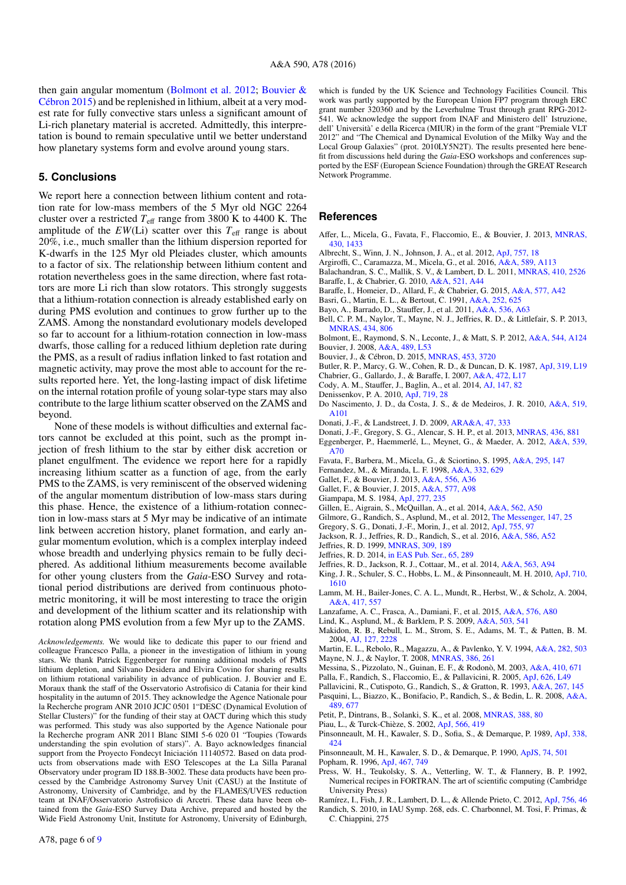then gain angular momentum (Bolmont et al. 2012; Bouvier & Cébron 2015) and be replenished in lithium, albeit at a very modest rate for fully convective stars unless a significant amount of Li-rich planetary material is accreted. Admittedly, this interpretation is bound to remain speculative until we better understand how planetary systems form and evolve around young stars.

#### **5. Conclusions**

We report here a connection between lithium content and rotation rate for low-mass members of the 5 Myr old NGC 2264 cluster over a restricted *T*eff range from 3800 K to 4400 K. The amplitude of the  $EW(Li)$  scatter over this  $T_{\text{eff}}$  range is about 20%, i.e., much smaller than the lithium dispersion reported for K-dwarfs in the 125 Myr old Pleiades cluster, which amounts to a factor of six. The relationship between lithium content and rotation nevertheless goes in the same direction, where fast rotators are more Li rich than slow rotators. This strongly suggests that a lithium-rotation connection is already established early on during PMS evolution and continues to grow further up to the ZAMS. Among the nonstandard evolutionary models developed so far to account for a lithium-rotation connection in low-mass dwarfs, those calling for a reduced lithium depletion rate during the PMS, as a result of radius inflation linked to fast rotation and magnetic activity, may prove the most able to account for the results reported here. Yet, the long-lasting impact of disk lifetime on the internal rotation profile of young solar-type stars may also contribute to the large lithium scatter observed on the ZAMS and beyond.

None of these models is without difficulties and external factors cannot be excluded at this point, such as the prompt injection of fresh lithium to the star by either disk accretion or planet engulfment. The evidence we report here for a rapidly increasing lithium scatter as a function of age, from the early PMS to the ZAMS, is very reminiscent of the observed widening of the angular momentum distribution of low-mass stars during this phase. Hence, the existence of a lithium-rotation connection in low-mass stars at 5 Myr may be indicative of an intimate link between accretion history, planet formation, and early angular momentum evolution, which is a complex interplay indeed whose breadth and underlying physics remain to be fully deciphered. As additional lithium measurements become available for other young clusters from the *Gaia*-ESO Survey and rotational period distributions are derived from continuous photometric monitoring, it will be most interesting to trace the origin and development of the lithium scatter and its relationship with rotation along PMS evolution from a few Myr up to the ZAMS.

*Acknowledgements.* We would like to dedicate this paper to our friend and colleague Francesco Palla, a pioneer in the investigation of lithium in young stars. We thank Patrick Eggenberger for running additional models of PMS lithium depletion, and Silvano Desidera and Elvira Covino for sharing results on lithium rotational variability in advance of publication. J. Bouvier and E. Moraux thank the staff of the Osservatorio Astrofisico di Catania for their kind hospitality in the autumn of 2015. They acknowledge the Agence Nationale pour la Recherche program ANR 2010 JCJC 0501 1"DESC (Dynamical Evolution of Stellar Clusters)" for the funding of their stay at OACT during which this study was performed. This study was also supported by the Agence Nationale pour la Recherche program ANR 2011 Blanc SIMI 5-6 020 01 "Toupies (Towards understanding the spin evolution of stars)". A. Bayo acknowledges financial support from the Proyecto Fondecyt Iniciación 11140572. Based on data products from observations made with ESO Telescopes at the La Silla Paranal Observatory under program ID 188.B-3002. These data products have been processed by the Cambridge Astronomy Survey Unit (CASU) at the Institute of Astronomy, University of Cambridge, and by the FLAMES/UVES reduction team at INAF/Osservatorio Astrofisico di Arcetri. These data have been obtained from the *Gaia*-ESO Survey Data Archive, prepared and hosted by the Wide Field Astronomy Unit, Institute for Astronomy, University of Edinburgh,

which is funded by the UK Science and Technology Facilities Council. This work was partly supported by the European Union FP7 program through ERC grant number 320360 and by the Leverhulme Trust through grant RPG-2012- 541. We acknowledge the support from INAF and Ministero dell' Istruzione, dell' Università' e della Ricerca (MIUR) in the form of the grant "Premiale VLT 2012" and "The Chemical and Dynamical Evolution of the Milky Way and the Local Group Galaxies" (prot. 2010LY5N2T). The results presented here benefit from discussions held during the *Gaia*-ESO workshops and conferences supported by the ESF (European Science Foundation) through the GREAT Research Network Programme.

#### **References**

- Affer, L., Micela, G., Favata, F., Flaccomio, E., & Bouvier, J. 2013, [MNRAS,](http://linker.aanda.org/10.1051/0004-6361/201628336/1) [430, 1433](http://linker.aanda.org/10.1051/0004-6361/201628336/1)
- Albrecht, S., Winn, J. N., Johnson, J. A., et al. 2012, [ApJ, 757, 18](http://linker.aanda.org/10.1051/0004-6361/201628336/2)
- Argiroffi, C., Caramazza, M., Micela, G., et al. 2016, [A&A, 589, A113](http://linker.aanda.org/10.1051/0004-6361/201628336/3)
- Balachandran, S. C., Mallik, S. V., & Lambert, D. L. 2011, [MNRAS, 410, 2526](http://linker.aanda.org/10.1051/0004-6361/201628336/4) Baraffe, I., & Chabrier, G. 2010, [A&A, 521, A44](http://linker.aanda.org/10.1051/0004-6361/201628336/5)
- Baraffe, I., Homeier, D., Allard, F., & Chabrier, G. 2015, [A&A, 577, A42](http://linker.aanda.org/10.1051/0004-6361/201628336/6)
- Basri, G., Martin, E. L., & Bertout, C. 1991, [A&A, 252, 625](http://linker.aanda.org/10.1051/0004-6361/201628336/7)
- Bayo, A., Barrado, D., Stauffer, J., et al. 2011, [A&A, 536, A63](http://linker.aanda.org/10.1051/0004-6361/201628336/8)
- Bell, C. P. M., Naylor, T., Mayne, N. J., Jeffries, R. D., & Littlefair, S. P. 2013, [MNRAS, 434, 806](http://linker.aanda.org/10.1051/0004-6361/201628336/9)
- Bolmont, E., Raymond, S. N., Leconte, J., & Matt, S. P. 2012, [A&A, 544, A124](http://linker.aanda.org/10.1051/0004-6361/201628336/10) Bouvier, J. 2008, [A&A, 489, L53](http://linker.aanda.org/10.1051/0004-6361/201628336/11)
- Bouvier, J., & Cébron, D. 2015, [MNRAS, 453, 3720](http://linker.aanda.org/10.1051/0004-6361/201628336/12)
- Butler, R. P., Marcy, G. W., Cohen, R. D., & Duncan, D. K. 1987, [ApJ, 319, L19](http://linker.aanda.org/10.1051/0004-6361/201628336/13)
- Chabrier, G., Gallardo, J., & Baraffe, I. 2007, [A&A, 472, L17](http://linker.aanda.org/10.1051/0004-6361/201628336/14)
- Cody, A. M., Stauffer, J., Baglin, A., et al. 2014, [AJ, 147, 82](http://linker.aanda.org/10.1051/0004-6361/201628336/15)
- Denissenkov, P. A. 2010, [ApJ, 719, 28](http://linker.aanda.org/10.1051/0004-6361/201628336/16)
- Do Nascimento, J. D., da Costa, J. S., & de Medeiros, J. R. 2010, [A&A, 519,](http://linker.aanda.org/10.1051/0004-6361/201628336/17) [A101](http://linker.aanda.org/10.1051/0004-6361/201628336/17)
- Donati, J.-F., & Landstreet, J. D. 2009, [ARA&A, 47, 333](http://linker.aanda.org/10.1051/0004-6361/201628336/18)
- Donati, J.-F., Gregory, S. G., Alencar, S. H. P., et al. 2013, [MNRAS, 436, 881](http://linker.aanda.org/10.1051/0004-6361/201628336/19)
- Eggenberger, P., Haemmerlé, L., Meynet, G., & Maeder, A. 2012, [A&A, 539,](http://linker.aanda.org/10.1051/0004-6361/201628336/20) [A70](http://linker.aanda.org/10.1051/0004-6361/201628336/20)
- Favata, F., Barbera, M., Micela, G., & Sciortino, S. 1995, [A&A, 295, 147](http://linker.aanda.org/10.1051/0004-6361/201628336/21)
- Fernandez, M., & Miranda, L. F. 1998, [A&A, 332, 629](http://linker.aanda.org/10.1051/0004-6361/201628336/22)
- Gallet, F., & Bouvier, J. 2013, [A&A, 556, A36](http://linker.aanda.org/10.1051/0004-6361/201628336/23)
- Gallet, F., & Bouvier, J. 2015, [A&A, 577, A98](http://linker.aanda.org/10.1051/0004-6361/201628336/24)
- Giampapa, M. S. 1984, [ApJ, 277, 235](http://linker.aanda.org/10.1051/0004-6361/201628336/25)
- Gillen, E., Aigrain, S., McQuillan, A., et al. 2014, [A&A, 562, A50](http://linker.aanda.org/10.1051/0004-6361/201628336/26)
- Gilmore, G., Randich, S., Asplund, M., et al. 2012, [The Messenger, 147, 25](http://linker.aanda.org/10.1051/0004-6361/201628336/27)
- Gregory, S. G., Donati, J.-F., Morin, J., et al. 2012, [ApJ, 755, 97](http://linker.aanda.org/10.1051/0004-6361/201628336/28)
- Jackson, R. J., Jeffries, R. D., Randich, S., et al. 2016, [A&A, 586, A52](http://linker.aanda.org/10.1051/0004-6361/201628336/29)
- Jeffries, R. D. 1999, [MNRAS, 309, 189](http://linker.aanda.org/10.1051/0004-6361/201628336/30)
- Jeffries, R. D. 2014, [in EAS Pub. Ser., 65, 289](http://linker.aanda.org/10.1051/0004-6361/201628336/31)
- Jeffries, R. D., Jackson, R. J., Cottaar, M., et al. 2014, [A&A, 563, A94](http://linker.aanda.org/10.1051/0004-6361/201628336/32)
- King, J. R., Schuler, S. C., Hobbs, L. M., & Pinsonneault, M. H. 2010, [ApJ, 710,](http://linker.aanda.org/10.1051/0004-6361/201628336/33) [1610](http://linker.aanda.org/10.1051/0004-6361/201628336/33)
- Lamm, M. H., Bailer-Jones, C. A. L., Mundt, R., Herbst, W., & Scholz, A. 2004, [A&A, 417, 557](http://linker.aanda.org/10.1051/0004-6361/201628336/34)
- Lanzafame, A. C., Frasca, A., Damiani, F., et al. 2015, [A&A, 576, A80](http://linker.aanda.org/10.1051/0004-6361/201628336/35)
- Lind, K., Asplund, M., & Barklem, P. S. 2009, [A&A, 503, 541](http://linker.aanda.org/10.1051/0004-6361/201628336/36)
- Makidon, R. B., Rebull, L. M., Strom, S. E., Adams, M. T., & Patten, B. M. 2004, [AJ, 127, 2228](http://linker.aanda.org/10.1051/0004-6361/201628336/37)
- Martin, E. L., Rebolo, R., Magazzu, A., & Pavlenko, Y. V. 1994, [A&A, 282, 503](http://linker.aanda.org/10.1051/0004-6361/201628336/38) Mayne, N. J., & Naylor, T. 2008, [MNRAS, 386, 261](http://linker.aanda.org/10.1051/0004-6361/201628336/39)
- Messina, S., Pizzolato, N., Guinan, E. F., & Rodonò, M. 2003, [A&A, 410, 671](http://linker.aanda.org/10.1051/0004-6361/201628336/40)
- Palla, F., Randich, S., Flaccomio, E., & Pallavicini, R. 2005, [ApJ, 626, L49](http://linker.aanda.org/10.1051/0004-6361/201628336/41)
- Pallavicini, R., Cutispoto, G., Randich, S., & Gratton, R. 1993, [A&A, 267, 145](http://linker.aanda.org/10.1051/0004-6361/201628336/42)
- Pasquini, L., Biazzo, K., Bonifacio, P., Randich, S., & Bedin, L. R. 2008, [A&A,](http://linker.aanda.org/10.1051/0004-6361/201628336/43) [489, 677](http://linker.aanda.org/10.1051/0004-6361/201628336/43)
- Petit, P., Dintrans, B., Solanki, S. K., et al. 2008, [MNRAS, 388, 80](http://linker.aanda.org/10.1051/0004-6361/201628336/44)
- Piau, L., & Turck-Chièze, S. 2002, [ApJ, 566, 419](http://linker.aanda.org/10.1051/0004-6361/201628336/45)
- Pinsonneault, M. H., Kawaler, S. D., Sofia, S., & Demarque, P. 1989, [ApJ, 338,](http://linker.aanda.org/10.1051/0004-6361/201628336/46) [424](http://linker.aanda.org/10.1051/0004-6361/201628336/46)

Pinsonneault, M. H., Kawaler, S. D., & Demarque, P. 1990, [ApJS, 74, 501](http://linker.aanda.org/10.1051/0004-6361/201628336/47) Popham, R. 1996, [ApJ, 467, 749](http://linker.aanda.org/10.1051/0004-6361/201628336/48)

Press, W. H., Teukolsky, S. A., Vetterling, W. T., & Flannery, B. P. 1992, Numerical recipes in FORTRAN. The art of scientific computing (Cambridge University Press)

Ramírez, I., Fish, J. R., Lambert, D. L., & Allende Prieto, C. 2012, [ApJ, 756, 46](http://linker.aanda.org/10.1051/0004-6361/201628336/50)

Randich, S. 2010, in IAU Symp. 268, eds. C. Charbonnel, M. Tosi, F. Primas, & C. Chiappini, 275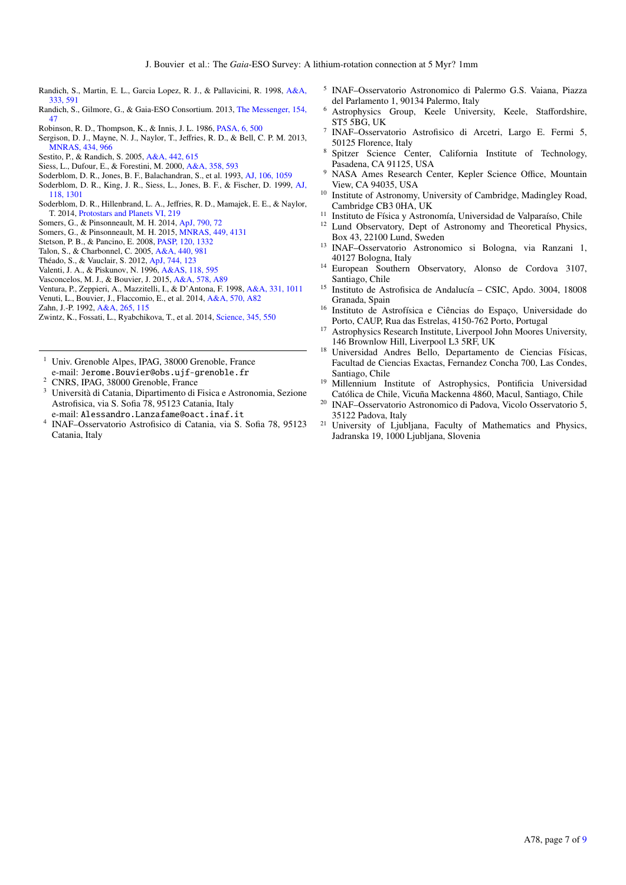- Randich, S., Martin, E. L., Garcia Lopez, R. J., & Pallavicini, R. 1998, [A&A,](http://linker.aanda.org/10.1051/0004-6361/201628336/52) [333, 591](http://linker.aanda.org/10.1051/0004-6361/201628336/52)
- Randich, S., Gilmore, G., & Gaia-ESO Consortium. 2013, [The Messenger, 154,](http://linker.aanda.org/10.1051/0004-6361/201628336/53) [47](http://linker.aanda.org/10.1051/0004-6361/201628336/53)
- Robinson, R. D., Thompson, K., & Innis, J. L. 1986, [PASA, 6, 500](http://linker.aanda.org/10.1051/0004-6361/201628336/54)
- Sergison, D. J., Mayne, N. J., Naylor, T., Jeffries, R. D., & Bell, C. P. M. 2013, [MNRAS, 434, 966](http://linker.aanda.org/10.1051/0004-6361/201628336/55)
- Sestito, P., & Randich, S. 2005, [A&A, 442, 615](http://linker.aanda.org/10.1051/0004-6361/201628336/56)
- Siess, L., Dufour, E., & Forestini, M. 2000, [A&A, 358, 593](http://linker.aanda.org/10.1051/0004-6361/201628336/57)
- Soderblom, D. R., Jones, B. F., Balachandran, S., et al. 1993, [AJ, 106, 1059](http://linker.aanda.org/10.1051/0004-6361/201628336/58)
- Soderblom, D. R., King, J. R., Siess, L., Jones, B. F., & Fischer, D. 1999, [AJ,](http://linker.aanda.org/10.1051/0004-6361/201628336/59) [118, 1301](http://linker.aanda.org/10.1051/0004-6361/201628336/59)
- Soderblom, D. R., Hillenbrand, L. A., Jeffries, R. D., Mamajek, E. E., & Naylor, T. 2014, [Protostars and Planets VI, 219](http://linker.aanda.org/10.1051/0004-6361/201628336/60)
- Somers, G., & Pinsonneault, M. H. 2014, [ApJ, 790, 72](http://linker.aanda.org/10.1051/0004-6361/201628336/61)
- Somers, G., & Pinsonneault, M. H. 2015, [MNRAS, 449, 4131](http://linker.aanda.org/10.1051/0004-6361/201628336/62)
- Stetson, P. B., & Pancino, E. 2008, [PASP, 120, 1332](http://linker.aanda.org/10.1051/0004-6361/201628336/63)
- Talon, S., & Charbonnel, C. 2005, [A&A, 440, 981](http://linker.aanda.org/10.1051/0004-6361/201628336/64)
- Théado, S., & Vauclair, S. 2012, [ApJ, 744, 123](http://linker.aanda.org/10.1051/0004-6361/201628336/65)
- Valenti, J. A., & Piskunov, N. 1996, [A&AS, 118, 595](http://linker.aanda.org/10.1051/0004-6361/201628336/66)
- Vasconcelos, M. J., & Bouvier, J. 2015, [A&A, 578, A89](http://linker.aanda.org/10.1051/0004-6361/201628336/67)
- Ventura, P., Zeppieri, A., Mazzitelli, I., & D'Antona, F. 1998, [A&A, 331, 1011](http://linker.aanda.org/10.1051/0004-6361/201628336/68)
- Venuti, L., Bouvier, J., Flaccomio, E., et al. 2014, [A&A, 570, A82](http://linker.aanda.org/10.1051/0004-6361/201628336/69)
- Zahn, J.-P. 1992, [A&A, 265, 115](http://linker.aanda.org/10.1051/0004-6361/201628336/70)
- Zwintz, K., Fossati, L., Ryabchikova, T., et al. 2014, [Science, 345, 550](http://linker.aanda.org/10.1051/0004-6361/201628336/71)
- <sup>1</sup> Univ. Grenoble Alpes, IPAG, 38000 Grenoble, France e-mail: Jerome.Bouvier@obs.ujf-grenoble.fr
- <sup>2</sup> CNRS, IPAG, 38000 Grenoble, France
- <sup>3</sup> Università di Catania, Dipartimento di Fisica e Astronomia, Sezione Astrofisica, via S. Sofia 78, 95123 Catania, Italy
- e-mail: Alessandro.Lanzafame@oact.inaf.it
- 4 INAF–Osservatorio Astrofisico di Catania, via S. Sofia 78, 95123 Catania, Italy
- 5 INAF–Osservatorio Astronomico di Palermo G.S. Vaiana, Piazza del Parlamento 1, 90134 Palermo, Italy
- <sup>6</sup> Astrophysics Group, Keele University, Keele, Staffordshire, ST5 5BG, UK
- 7 INAF–Osservatorio Astrofisico di Arcetri, Largo E. Fermi 5, 50125 Florence, Italy
- <sup>8</sup> Spitzer Science Center, California Institute of Technology, Pasadena, CA 91125, USA
- <sup>9</sup> NASA Ames Research Center, Kepler Science Office, Mountain View, CA 94035, USA
- <sup>10</sup> Institute of Astronomy, University of Cambridge, Madingley Road, Cambridge CB3 0HA, UK
- <sup>11</sup> Instituto de Física y Astronomía, Universidad de Valparaíso, Chile  $^{12}$  I und Observatory. Dent of Astronomy and Theoratical Physics
- Lund Observatory, Dept of Astronomy and Theoretical Physics, Box 43, 22100 Lund, Sweden
- <sup>13</sup> INAF–Osservatorio Astronomico si Bologna, via Ranzani 1, 40127 Bologna, Italy
- <sup>14</sup> European Southern Observatory, Alonso de Cordova 3107, Santiago, Chile
- <sup>15</sup> Instituto de Astrofisica de Andalucía CSIC, Apdo. 3004, 18008 Granada, Spain
- <sup>16</sup> Instituto de Astrofísica e Ciências do Espaço, Universidade do Porto, CAUP, Rua das Estrelas, 4150-762 Porto, Portugal
- <sup>17</sup> Astrophysics Research Institute, Liverpool John Moores University, 146 Brownlow Hill, Liverpool L3 5RF, UK
- <sup>18</sup> Universidad Andres Bello, Departamento de Ciencias Físicas, Facultad de Ciencias Exactas, Fernandez Concha 700, Las Condes, Santiago, Chile
- <sup>19</sup> Millennium Institute of Astrophysics, Pontificia Universidad Católica de Chile, Vicuña Mackenna 4860, Macul, Santiago, Chile
- <sup>20</sup> INAF–Osservatorio Astronomico di Padova, Vicolo Osservatorio 5, 35122 Padova, Italy
- <sup>21</sup> University of Ljubljana, Faculty of Mathematics and Physics, Jadranska 19, 1000 Ljubljana, Slovenia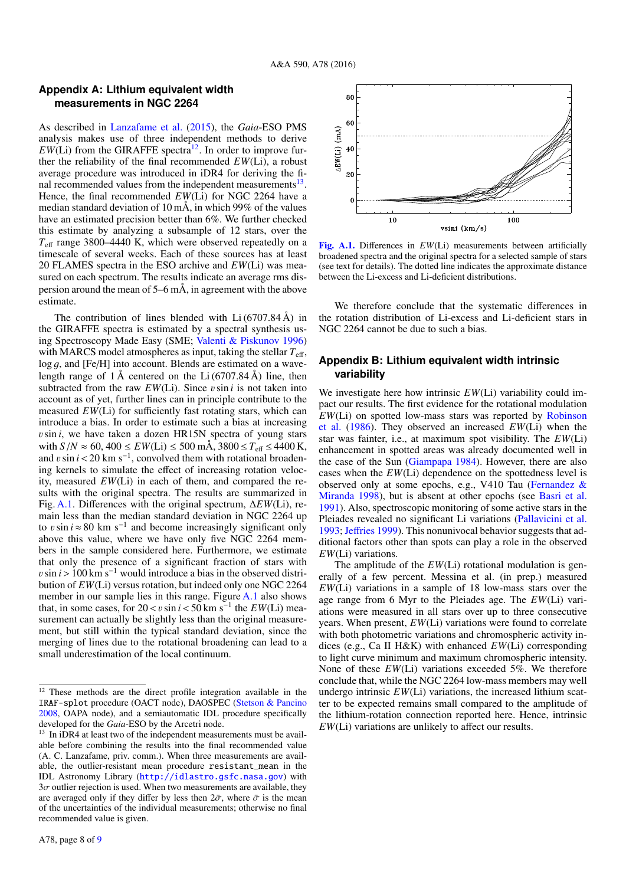#### **Appendix A: Lithium equivalent width measurements in NGC 2264**

As described in Lanzafame et al. (2015), the *Gaia*-ESO PMS analysis makes use of three independent methods to derive  $EW(Li)$  from the GIRAFFE spectra<sup>12</sup>. In order to improve further the reliability of the final recommended *EW*(Li), a robust average procedure was introduced in iDR4 for deriving the final recommended values from the independent measurements<sup>13</sup>. Hence, the final recommended *EW*(Li) for NGC 2264 have a median standard deviation of 10 mÅ, in which 99% of the values have an estimated precision better than 6%. We further checked this estimate by analyzing a subsample of 12 stars, over the *T*eff range 3800–4440 K, which were observed repeatedly on a timescale of several weeks. Each of these sources has at least 20 FLAMES spectra in the ESO archive and *EW*(Li) was measured on each spectrum. The results indicate an average rms dispersion around the mean of  $5-6$  mÅ, in agreement with the above estimate.

The contribution of lines blended with  $Li(6707.84 \text{ Å})$  in the GIRAFFE spectra is estimated by a spectral synthesis using Spectroscopy Made Easy (SME; Valenti & Piskunov 1996) with MARCS model atmospheres as input, taking the stellar  $T_{\text{eff}}$ ,  $log q$ , and [Fe/H] into account. Blends are estimated on a wavelength range of  $1 \text{ Å}$  centered on the Li (6707.84 Å) line, then subtracted from the raw  $EW(Li)$ . Since  $v \sin i$  is not taken into account as of yet, further lines can in principle contribute to the measured *EW*(Li) for sufficiently fast rotating stars, which can introduce a bias. In order to estimate such a bias at increasing  $v \sin i$ , we have taken a dozen HR15N spectra of young stars with  $S/N \approx 60, 400 \leq EW(Li) \leq 500$  mÅ,  $3800 \leq T_{\text{eff}} \leq 4400$  K, and  $v \sin i < 20$  km s<sup>-1</sup>, convolved them with rotational broaden-<br>ing kernels to simulate the effect of increasing rotation velocing kernels to simulate the effect of increasing rotation velocity, measured *EW*(Li) in each of them, and compared the results with the original spectra. The results are summarized in Fig. A.1. Differences with the original spectrum, ∆*EW*(Li), remain less than the median standard deviation in NGC 2264 up to vsin *i* ≈ 80 km s<sup>-1</sup> and become increasingly significant only above this value, where we have only five NGC 2264 memabove this value, where we have only five NGC 2264 members in the sample considered here. Furthermore, we estimate that only the presence of a significant fraction of stars with  $v \sin i$  > 100 km s<sup>-1</sup> would introduce a bias in the observed distribution of *EW*(Li) versus rotation, but indeed only one NGC 2264 member in our sample lies in this range. Figure A.1 also shows that, in some cases, for  $20 < v \sin i < 50 \text{ km s}^{-1}$  the  $EW(\text{Li})$  measure-<br>surement can actually be slightly less than the original measuresurement can actually be slightly less than the original measurement, but still within the typical standard deviation, since the merging of lines due to the rotational broadening can lead to a small underestimation of the local continuum.



[Fig. A.1.](http://dexter.edpsciences.org/applet.php?DOI=10.1051/0004-6361/201628336&pdf_id=5) Differences in *EW*(Li) measurements between artificially broadened spectra and the original spectra for a selected sample of stars (see text for details). The dotted line indicates the approximate distance between the Li-excess and Li-deficient distributions.

We therefore conclude that the systematic differences in the rotation distribution of Li-excess and Li-deficient stars in NGC 2264 cannot be due to such a bias.

### **Appendix B: Lithium equivalent width intrinsic variability**

We investigate here how intrinsic  $EW(L)$  variability could impact our results. The first evidence for the rotational modulation *EW*(Li) on spotted low-mass stars was reported by Robinson et al. (1986). They observed an increased *EW*(Li) when the star was fainter, i.e., at maximum spot visibility. The *EW*(Li) enhancement in spotted areas was already documented well in the case of the Sun (Giampapa 1984). However, there are also cases when the *EW*(Li) dependence on the spottedness level is observed only at some epochs, e.g., V410 Tau (Fernandez & Miranda 1998), but is absent at other epochs (see Basri et al. 1991). Also, spectroscopic monitoring of some active stars in the Pleiades revealed no significant Li variations (Pallavicini et al. 1993;Jeffries 1999). This nonunivocal behavior suggests that additional factors other than spots can play a role in the observed *EW*(Li) variations.

The amplitude of the *EW*(Li) rotational modulation is generally of a few percent. Messina et al. (in prep.) measured *EW*(Li) variations in a sample of 18 low-mass stars over the age range from 6 Myr to the Pleiades age. The *EW*(Li) variations were measured in all stars over up to three consecutive years. When present, *EW*(Li) variations were found to correlate with both photometric variations and chromospheric activity indices (e.g., Ca II H&K) with enhanced *EW*(Li) corresponding to light curve minimum and maximum chromospheric intensity. None of these *EW*(Li) variations exceeded 5%. We therefore conclude that, while the NGC 2264 low-mass members may well undergo intrinsic *EW*(Li) variations, the increased lithium scatter to be expected remains small compared to the amplitude of the lithium-rotation connection reported here. Hence, intrinsic *EW*(Li) variations are unlikely to affect our results.

<sup>12</sup> These methods are the direct profile integration available in the IRAF-splot procedure (OACT node), DAOSPEC (Stetson & Pancino 2008, OAPA node), and a semiautomatic IDL procedure specifically developed for the *Gaia*-ESO by the Arcetri node.

<sup>&</sup>lt;sup>13</sup> In iDR4 at least two of the independent measurements must be available before combining the results into the final recommended value (A. C. Lanzafame, priv. comm.). When three measurements are available, the outlier-resistant mean procedure resistant\_mean in the IDL Astronomy Library (<http://idlastro.gsfc.nasa.gov>) with  $3\sigma$  outlier rejection is used. When two measurements are available, they are averaged only if they differ by less then  $2\bar{\sigma}$ , where  $\bar{\sigma}$  is the mean of the uncertainties of the individual measurements; otherwise no final recommended value is given.